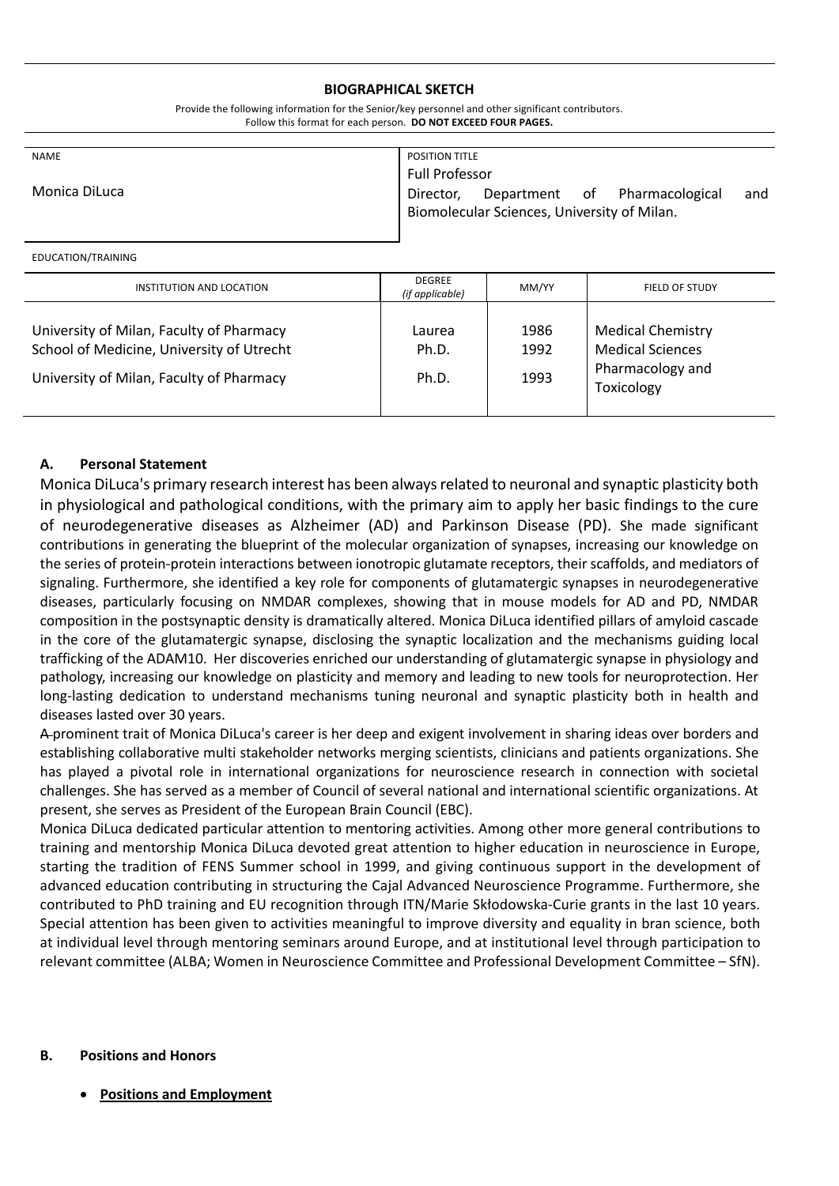#### **BIOGRAPHICAL SKETCH**

| Provide the following information for the Senior/key personnel and other significant contributors. |  |
|----------------------------------------------------------------------------------------------------|--|
| Follow this format for each person. DO NOT EXCEED FOUR PAGES.                                      |  |

| NAME          | <b>POSITION TITLE</b>                             |  |  |  |
|---------------|---------------------------------------------------|--|--|--|
|               | <b>Full Professor</b>                             |  |  |  |
| Monica DiLuca | and<br>Department of Pharmacological<br>Director. |  |  |  |
|               | Biomolecular Sciences, University of Milan.       |  |  |  |
|               |                                                   |  |  |  |

EDUCATION/TRAINING

| INSTITUTION AND LOCATION                                                                                                          | DEGREE<br>(if applicable) | MM/YY                | <b>FIELD OF STUDY</b>                                                                 |
|-----------------------------------------------------------------------------------------------------------------------------------|---------------------------|----------------------|---------------------------------------------------------------------------------------|
| University of Milan, Faculty of Pharmacy<br>School of Medicine, University of Utrecht<br>University of Milan, Faculty of Pharmacy | Laurea<br>Ph.D.<br>Ph.D.  | 1986<br>1992<br>1993 | <b>Medical Chemistry</b><br><b>Medical Sciences</b><br>Pharmacology and<br>Toxicology |

#### **A. Personal Statement**

Monica DiLuca's primary research interest has been always related to neuronal and synaptic plasticity both in physiological and pathological conditions, with the primary aim to apply her basic findings to the cure of neurodegenerative diseases as Alzheimer (AD) and Parkinson Disease (PD). She made significant contributions in generating the blueprint of the molecular organization of synapses, increasing our knowledge on the series of protein-protein interactions between ionotropic glutamate receptors, their scaffolds, and mediators of signaling. Furthermore, she identified a key role for components of glutamatergic synapses in neurodegenerative diseases, particularly focusing on NMDAR complexes, showing that in mouse models for AD and PD, NMDAR composition in the postsynaptic density is dramatically altered. Monica DiLuca identified pillars of amyloid cascade in the core of the glutamatergic synapse, disclosing the synaptic localization and the mechanisms guiding local trafficking of the ADAM10. Her discoveries enriched our understanding of glutamatergic synapse in physiology and pathology, increasing our knowledge on plasticity and memory and leading to new tools for neuroprotection. Her long-lasting dedication to understand mechanisms tuning neuronal and synaptic plasticity both in health and diseases lasted over 30 years.

A prominent trait of Monica DiLuca's career is her deep and exigent involvement in sharing ideas over borders and establishing collaborative multi stakeholder networks merging scientists, clinicians and patients organizations. She has played a pivotal role in international organizations for neuroscience research in connection with societal challenges. She has served as a member of Council of several national and international scientific organizations. At present, she serves as President of the European Brain Council (EBC).

Monica DiLuca dedicated particular attention to mentoring activities. Among other more general contributions to training and mentorship Monica DiLuca devoted great attention to higher education in neuroscience in Europe, starting the tradition of FENS Summer school in 1999, and giving continuous support in the development of advanced education contributing in structuring the Cajal Advanced Neuroscience Programme. Furthermore, she contributed to PhD training and EU recognition through ITN/Marie Skłodowska-Curie grants in the last 10 years. Special attention has been given to activities meaningful to improve diversity and equality in bran science, both at individual level through mentoring seminars around Europe, and at institutional level through participation to relevant committee (ALBA; Women in Neuroscience Committee and Professional Development Committee – SfN).

#### **B. Positions and Honors**

## • **Positions and Employment**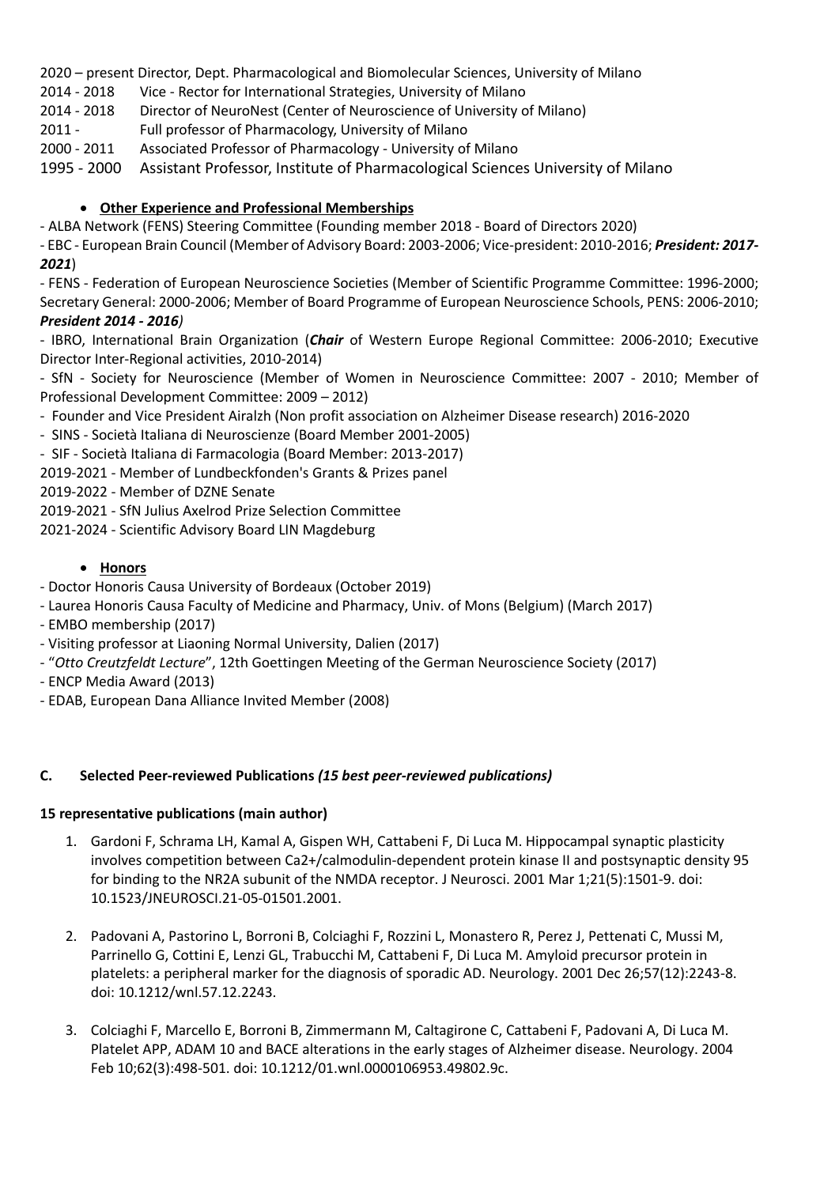2020 – present Director, Dept. Pharmacological and Biomolecular Sciences, University of Milano

2014 - 2018 Vice - Rector for International Strategies, University of Milano

2014 - 2018 Director of NeuroNest (Center of Neuroscience of University of Milano)

2011 - Full professor of Pharmacology, University of Milano

2000 - 2011 Associated Professor of Pharmacology - University of Milano

1995 - 2000 Assistant Professor, Institute of Pharmacological Sciences University of Milano

# • **Other Experience and Professional Memberships**

- ALBA Network (FENS) Steering Committee (Founding member 2018 - Board of Directors 2020)

- EBC - European Brain Council (Member of Advisory Board: 2003-2006; Vice-president: 2010-2016; *President: 2017- 2021*)

- FENS - Federation of European Neuroscience Societies (Member of Scientific Programme Committee: 1996-2000; Secretary General: 2000-2006; Member of Board Programme of European Neuroscience Schools, PENS: 2006-2010; *President 2014 - 2016)*

- IBRO, International Brain Organization (*Chair* of Western Europe Regional Committee: 2006-2010; Executive Director Inter-Regional activities, 2010-2014)

- SfN - Society for Neuroscience (Member of Women in Neuroscience Committee: 2007 - 2010; Member of Professional Development Committee: 2009 – 2012)

- Founder and Vice President Airalzh (Non profit association on Alzheimer Disease research) 2016-2020

- SINS - Società Italiana di Neuroscienze (Board Member 2001-2005)

- SIF - Società Italiana di Farmacologia (Board Member: 2013-2017)

2019-2021 - Member of Lundbeckfonden's Grants & Prizes panel

2019-2022 - Member of DZNE Senate

2019-2021 - SfN Julius Axelrod Prize Selection Committee

2021-2024 - Scientific Advisory Board LIN Magdeburg

## • **Honors**

- Doctor Honoris Causa University of Bordeaux (October 2019)

- Laurea Honoris Causa Faculty of Medicine and Pharmacy, Univ. of Mons (Belgium) (March 2017)

- EMBO membership (2017)

- Visiting professor at Liaoning Normal University, Dalien (2017)

- "*Otto Creutzfeldt Lecture*", 12th Goettingen Meeting of the German Neuroscience Society (2017)

- ENCP Media Award (2013)

- EDAB, European Dana Alliance Invited Member (2008)

## **C. Selected Peer-reviewed Publications** *(15 best peer-reviewed publications)*

## **15 representative publications (main author)**

- 1. Gardoni F, Schrama LH, Kamal A, Gispen WH, Cattabeni F, Di Luca M. Hippocampal synaptic plasticity involves competition between Ca2+/calmodulin-dependent protein kinase II and postsynaptic density 95 for binding to the NR2A subunit of the NMDA receptor. J Neurosci. 2001 Mar 1;21(5):1501-9. doi: 10.1523/JNEUROSCI.21-05-01501.2001.
- 2. Padovani A, Pastorino L, Borroni B, Colciaghi F, Rozzini L, Monastero R, Perez J, Pettenati C, Mussi M, Parrinello G, Cottini E, Lenzi GL, Trabucchi M, Cattabeni F, Di Luca M. Amyloid precursor protein in platelets: a peripheral marker for the diagnosis of sporadic AD. Neurology. 2001 Dec 26;57(12):2243-8. doi: 10.1212/wnl.57.12.2243.
- 3. Colciaghi F, Marcello E, Borroni B, Zimmermann M, Caltagirone C, Cattabeni F, Padovani A, Di Luca M. Platelet APP, ADAM 10 and BACE alterations in the early stages of Alzheimer disease. Neurology. 2004 Feb 10;62(3):498-501. doi: 10.1212/01.wnl.0000106953.49802.9c.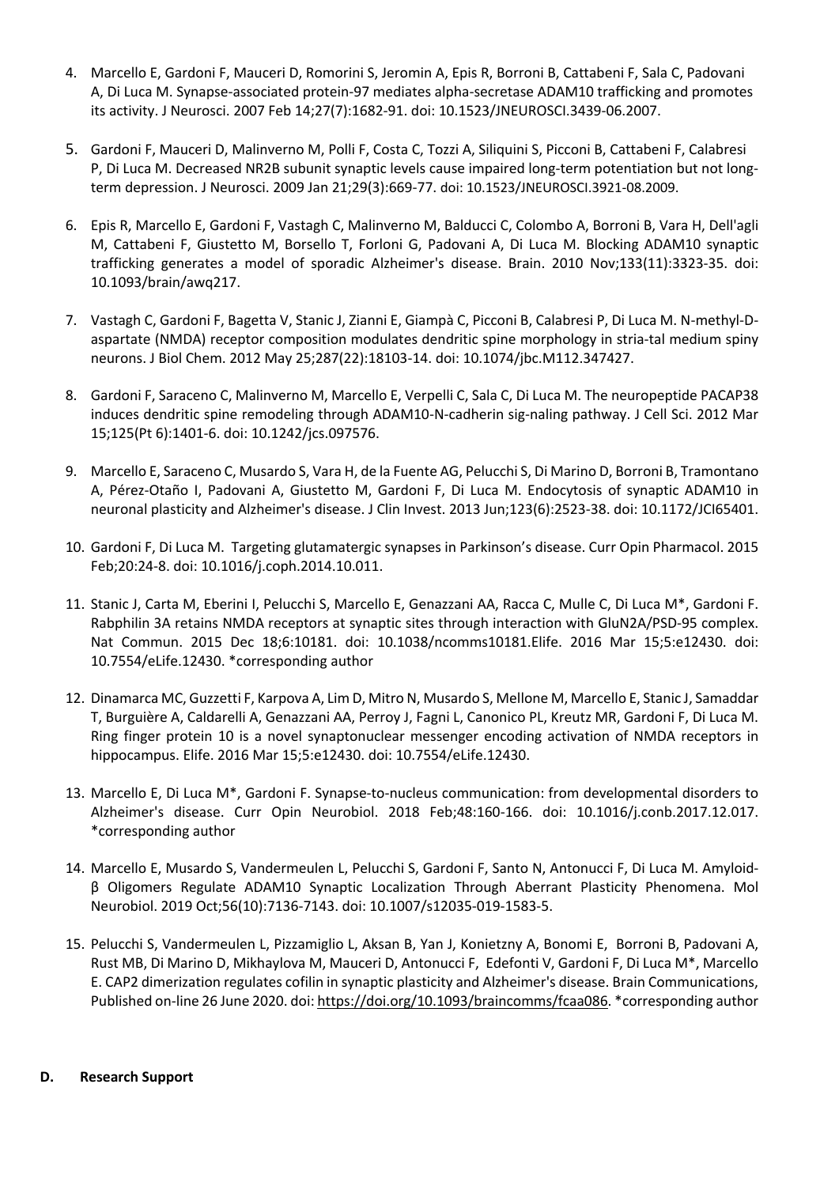- 4. Marcello E, Gardoni F, Mauceri D, Romorini S, Jeromin A, Epis R, Borroni B, Cattabeni F, Sala C, Padovani A, Di Luca M. Synapse-associated protein-97 mediates alpha-secretase ADAM10 trafficking and promotes its activity. J Neurosci. 2007 Feb 14;27(7):1682-91. doi: 10.1523/JNEUROSCI.3439-06.2007.
- 5. Gardoni F, Mauceri D, Malinverno M, Polli F, Costa C, Tozzi A, Siliquini S, Picconi B, Cattabeni F, Calabresi P, Di Luca M. Decreased NR2B subunit synaptic levels cause impaired long-term potentiation but not longterm depression. J Neurosci. 2009 Jan 21;29(3):669-77. doi: 10.1523/JNEUROSCI.3921-08.2009.
- 6. Epis R, Marcello E, Gardoni F, Vastagh C, Malinverno M, Balducci C, Colombo A, Borroni B, Vara H, Dell'agli M, Cattabeni F, Giustetto M, Borsello T, Forloni G, Padovani A, Di Luca M. Blocking ADAM10 synaptic trafficking generates a model of sporadic Alzheimer's disease. Brain. 2010 Nov;133(11):3323-35. doi: 10.1093/brain/awq217.
- 7. Vastagh C, Gardoni F, Bagetta V, Stanic J, Zianni E, Giampà C, Picconi B, Calabresi P, Di Luca M. N-methyl-Daspartate (NMDA) receptor composition modulates dendritic spine morphology in stria-tal medium spiny neurons. J Biol Chem. 2012 May 25;287(22):18103-14. doi: 10.1074/jbc.M112.347427.
- 8. Gardoni F, Saraceno C, Malinverno M, Marcello E, Verpelli C, Sala C, Di Luca M. The neuropeptide PACAP38 induces dendritic spine remodeling through ADAM10-N-cadherin sig-naling pathway. J Cell Sci. 2012 Mar 15;125(Pt 6):1401-6. doi: 10.1242/jcs.097576.
- 9. Marcello E, Saraceno C, Musardo S, Vara H, de la Fuente AG, Pelucchi S, Di Marino D, Borroni B, Tramontano A, Pérez-Otaño I, Padovani A, Giustetto M, Gardoni F, Di Luca M. Endocytosis of synaptic ADAM10 in neuronal plasticity and Alzheimer's disease. J Clin Invest. 2013 Jun;123(6):2523-38. doi: 10.1172/JCI65401.
- 10. Gardoni F, Di Luca M. Targeting glutamatergic synapses in Parkinson's disease. Curr Opin Pharmacol. 2015 Feb;20:24-8. doi: 10.1016/j.coph.2014.10.011.
- 11. Stanic J, Carta M, Eberini I, Pelucchi S, Marcello E, Genazzani AA, Racca C, Mulle C, Di Luca M\*, Gardoni F. Rabphilin 3A retains NMDA receptors at synaptic sites through interaction with GluN2A/PSD-95 complex. Nat Commun. 2015 Dec 18;6:10181. doi: 10.1038/ncomms10181.Elife. 2016 Mar 15;5:e12430. doi: 10.7554/eLife.12430. \*corresponding author
- 12. Dinamarca MC, Guzzetti F, Karpova A, Lim D, Mitro N, Musardo S, Mellone M, Marcello E, Stanic J, Samaddar T, Burguière A, Caldarelli A, Genazzani AA, Perroy J, Fagni L, Canonico PL, Kreutz MR, Gardoni F, Di Luca M. Ring finger protein 10 is a novel synaptonuclear messenger encoding activation of NMDA receptors in hippocampus. Elife. 2016 Mar 15;5:e12430. doi: 10.7554/eLife.12430.
- 13. Marcello E, Di Luca M\*, Gardoni F. Synapse-to-nucleus communication: from developmental disorders to Alzheimer's disease. Curr Opin Neurobiol. 2018 Feb;48:160-166. doi: 10.1016/j.conb.2017.12.017. \*corresponding author
- 14. Marcello E, Musardo S, Vandermeulen L, Pelucchi S, Gardoni F, Santo N, Antonucci F, Di Luca M. Amyloidβ Oligomers Regulate ADAM10 Synaptic Localization Through Aberrant Plasticity Phenomena. Mol Neurobiol. 2019 Oct;56(10):7136-7143. doi: 10.1007/s12035-019-1583-5.
- 15. Pelucchi S, Vandermeulen L, Pizzamiglio L, Aksan B, Yan J, Konietzny A, Bonomi E, Borroni B, Padovani A, Rust MB, Di Marino D, Mikhaylova M, Mauceri D, Antonucci F, Edefonti V, Gardoni F, Di Luca M\*, Marcello E. CAP2 dimerization regulates cofilin in synaptic plasticity and Alzheimer's disease. Brain Communications, Published on-line 26 June 2020. doi: https://doi.org/10.1093/braincomms/fcaa086. \*corresponding author

#### **D. Research Support**